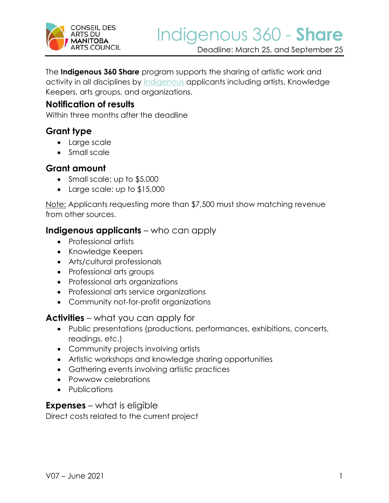

The **Indigenous 360 Share** program supports the sharing of artistic work and activity in all disciplines by [Indigenous](http://artscouncil.mb.ca/grants/glossary/#indigenous) applicants including artists, Knowledge Keepers, arts groups, and organizations.

## **Notification of results**

Within three months after the deadline

## **Grant type**

- Large scale
- Small scale

### **Grant amount**

- Small scale: up to \$5,000
- Large scale: up to \$15,000

Note: Applicants requesting more than \$7,500 must show matching revenue from other sources.

### **Indigenous applicants** – who can apply

- Professional artists
- Knowledge Keepers
- Arts/cultural professionals
- Professional arts groups
- Professional arts organizations
- Professional arts service organizations
- Community not-for-profit organizations

### **Activities** – what you can apply for

- Public presentations (productions, performances, exhibitions, concerts, readings, etc.)
- Community projects involving artists
- Artistic workshops and knowledge sharing opportunities
- Gathering events involving artistic practices
- Powwow celebrations
- Publications

### **Expenses** – what is eligible

Direct costs related to the current project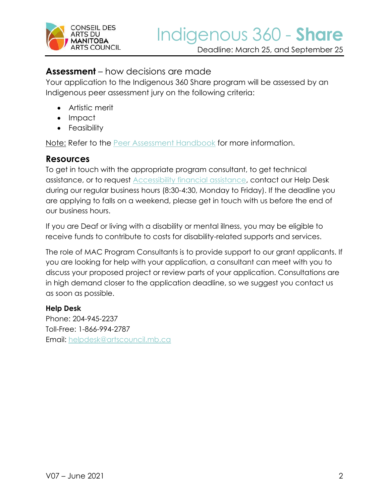

Deadline: March 25, and September 25

### **Assessment** – how decisions are made

Your application to the Indigenous 360 Share program will be assessed by an Indigenous peer assessment jury on the following criteria:

- Artistic merit
- Impact
- Feasibility

Note: Refer to the [Peer Assessment Handbook](https://artscouncil.mb.ca/grants/peer-assessment/) for more information.

### **Resources**

To get in touch with the appropriate program consultant, to get technical assistance, or to request [Accessibility financial assistance,](https://artscouncil.mb.ca/grants/accessibility/) contact our Help Desk during our regular business hours (8:30-4:30, Monday to Friday). If the deadline you are applying to falls on a weekend, please get in touch with us before the end of our business hours.

If you are Deaf or living with a disability or mental illness, you may be eligible to receive funds to contribute to costs for disability-related supports and services.

The role of MAC Program Consultants is to provide support to our grant applicants. If you are looking for help with your application, a consultant can meet with you to discuss your proposed project or review parts of your application. Consultations are in high demand closer to the application deadline, so we suggest you contact us as soon as possible.

#### **Help Desk**

Phone: 204-945-2237 Toll-Free: 1-866-994-2787 Email: [helpdesk@artscouncil.mb.ca](mailto:helpdesk@artscouncil.mb.ca)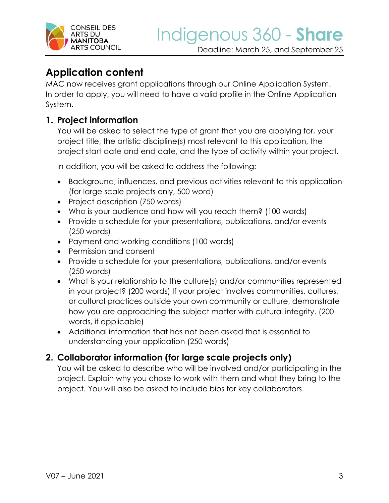

# **Application content**

MAC now receives grant applications through our Online Application System. In order to apply, you will need to have a valid profile in the Online Application System.

## **1. Project information**

You will be asked to select the type of grant that you are applying for, your project title, the artistic discipline(s) most relevant to this application, the project start date and end date, and the type of activity within your project.

In addition, you will be asked to address the following:

- Background, influences, and previous activities relevant to this application (for large scale projects only, 500 word)
- Project description (750 words)
- Who is your audience and how will you reach them? (100 words)
- Provide a schedule for your presentations, publications, and/or events (250 words)
- Payment and working conditions (100 words)
- Permission and consent
- Provide a schedule for your presentations, publications, and/or events (250 words)
- What is your relationship to the culture(s) and/or communities represented in your project? (200 words) If your project involves communities, cultures, or cultural practices outside your own community or culture, demonstrate how you are approaching the subject matter with cultural integrity. (200 words, if applicable)
- Additional information that has not been asked that is essential to understanding your application (250 words)

## **2. Collaborator information (for large scale projects only)**

You will be asked to describe who will be involved and/or participating in the project. Explain why you chose to work with them and what they bring to the project. You will also be asked to include bios for key collaborators.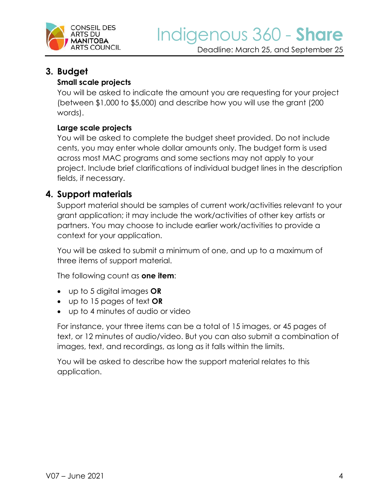

## **3. Budget**

### **Small scale projects**

You will be asked to indicate the amount you are requesting for your project (between \$1,000 to \$5,000) and describe how you will use the grant (200 words).

### **Large scale projects**

You will be asked to complete the budget sheet provided. Do not include cents, you may enter whole dollar amounts only. The budget form is used across most MAC programs and some sections may not apply to your project. Include brief clarifications of individual budget lines in the description fields, if necessary.

## **4. Support materials**

Support material should be samples of current work/activities relevant to your grant application; it may include the work/activities of other key artists or partners. You may choose to include earlier work/activities to provide a context for your application.

You will be asked to submit a minimum of one, and up to a maximum of three items of support material.

The following count as **one item**:

- up to 5 digital images **OR**
- up to 15 pages of text **OR**
- up to 4 minutes of audio or video

For instance, your three items can be a total of 15 images, or 45 pages of text, or 12 minutes of audio/video. But you can also submit a combination of images, text, and recordings, as long as it falls within the limits.

You will be asked to describe how the support material relates to this application.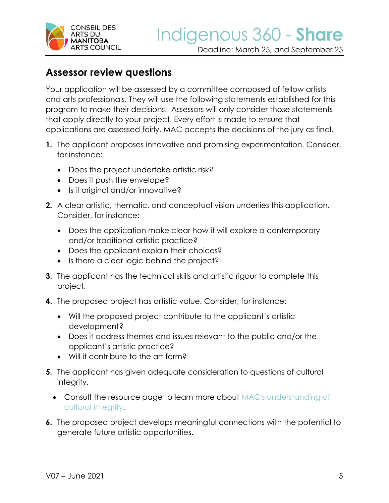

# **Assessor review questions**

Your application will be assessed by a committee composed of fellow artists and arts professionals. They will use the following statements established for this program to make their decisions. Assessors will only consider those statements that apply directly to your project. Every effort is made to ensure that applications are assessed fairly. MAC accepts the decisions of the jury as final.

- **1.** The applicant proposes innovative and promising experimentation. Consider, for instance:
	- Does the project undertake artistic risk?
	- Does it push the envelope?
	- Is it original and/or innovative?
- **2.** A clear artistic, thematic, and conceptual vision underlies this application. Consider, for instance:
	- Does the application make clear how it will explore a contemporary and/or traditional artistic practice?
	- Does the applicant explain their choices?
	- Is there a clear logic behind the project?
- **3.** The applicant has the technical skills and artistic rigour to complete this project.
- **4.** The proposed project has artistic value. Consider, for instance:
	- Will the proposed project contribute to the applicant's artistic development?
	- Does it address themes and issues relevant to the public and/or the applicant's artistic practice?
	- Will it contribute to the art form?
- **5.** The applicant has given adequate consideration to questions of cultural integrity.
	- Consult the resource page to learn more about [MAC's understanding of](https://artscouncil.mb.ca/grants/resources/cultural-integrity/)  [cultural integrity.](https://artscouncil.mb.ca/grants/resources/cultural-integrity/)
- **6.** The proposed project develops meaningful connections with the potential to generate future artistic opportunities.